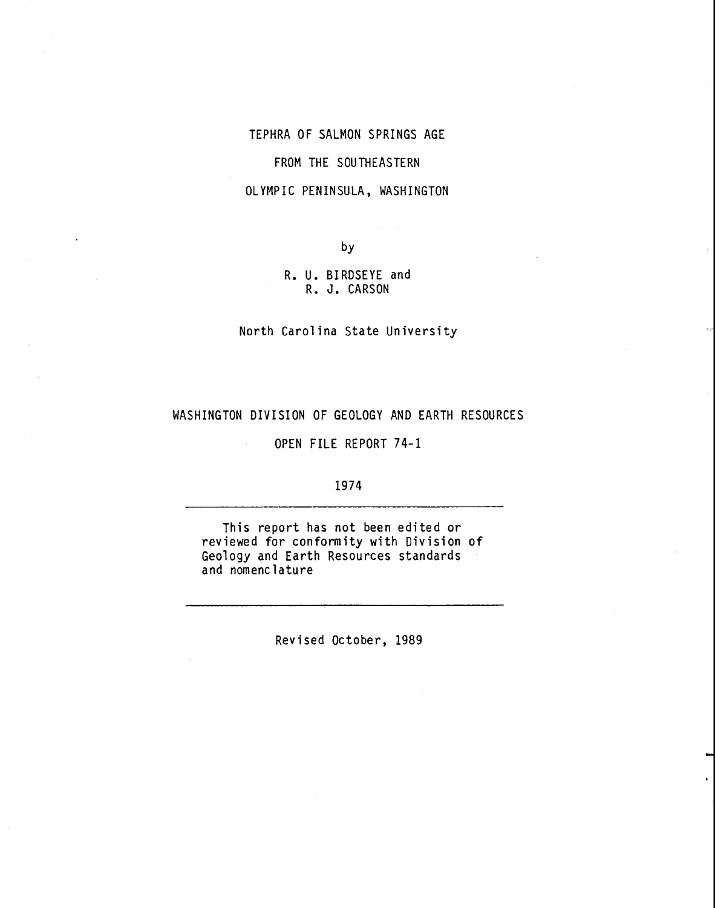## TEPHRA OF SALMON SPRINGS AGE

## FROM THE SOUTHEASTERN

## OLYMPIC PENINSULA, WASHINGTON

by

## R. U. BIRDSEYE and R. J. CARSON

## North Carolina State University

## WASHINGTON DIVISION OF GEOLOGY AND EARTH RESOURCES

#### OPEN FILE REPORT 74-1

 $\mathcal{L}$ 

#### 1974

This report has not been edited or reviewed for conformity with Division of Geology and Earth Resources standards and nomenclature

Revised October, 1989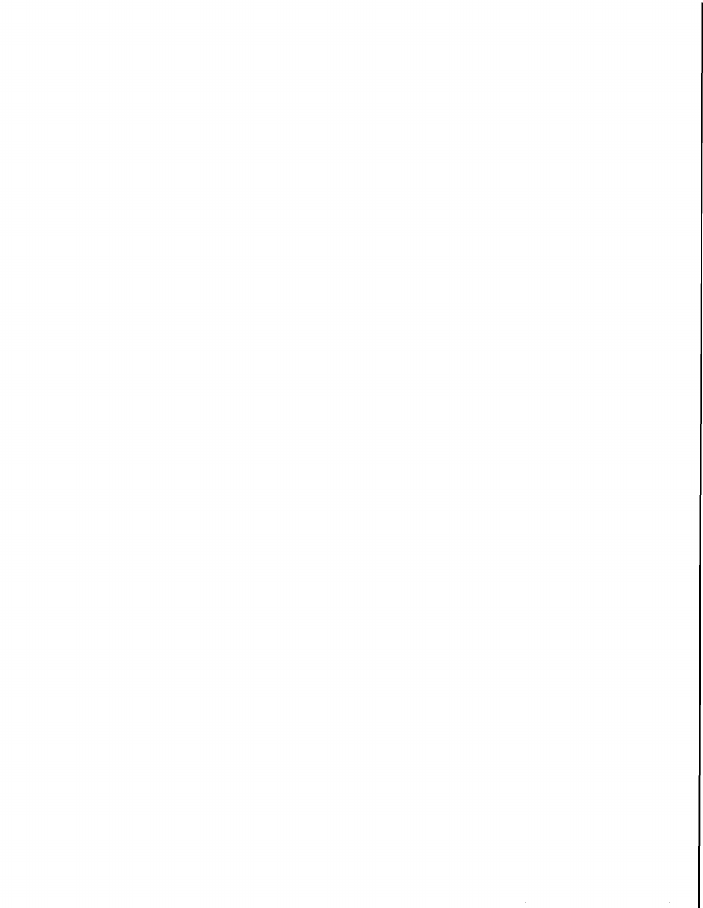$\label{eq:2.1} \frac{1}{2} \int_{\mathbb{R}^3} \frac{1}{\sqrt{2}} \, \frac{1}{\sqrt{2}} \, \frac{1}{\sqrt{2}} \, \frac{1}{\sqrt{2}} \, \frac{1}{\sqrt{2}} \, \frac{1}{\sqrt{2}} \, \frac{1}{\sqrt{2}} \, \frac{1}{\sqrt{2}} \, \frac{1}{\sqrt{2}} \, \frac{1}{\sqrt{2}} \, \frac{1}{\sqrt{2}} \, \frac{1}{\sqrt{2}} \, \frac{1}{\sqrt{2}} \, \frac{1}{\sqrt{2}} \, \frac{1}{\sqrt{2}} \, \frac{1}{\sqrt{2}} \,$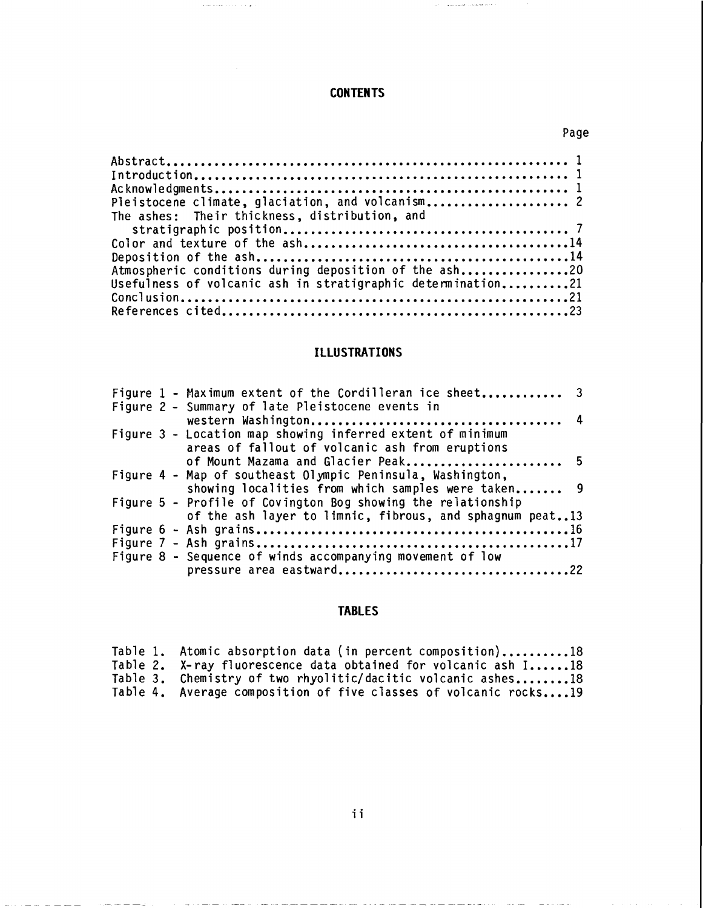# **CONTENTS**

 $\alpha$  and  $\beta$  , as a sequence of the sequence of  $\beta$ 

where  $\alpha$  is a set of  $\alpha$  ,  $\alpha$  ,  $\beta$  ,  $\alpha$ 

Page

| Pleistocene climate, glaciation, and volcanism 2<br>Atmospheric conditions during deposition of the ash20<br>Usefulness of volcanic ash in stratigraphic determination21 |                                               |  |  |
|--------------------------------------------------------------------------------------------------------------------------------------------------------------------------|-----------------------------------------------|--|--|
|                                                                                                                                                                          |                                               |  |  |
|                                                                                                                                                                          |                                               |  |  |
|                                                                                                                                                                          |                                               |  |  |
|                                                                                                                                                                          |                                               |  |  |
|                                                                                                                                                                          | The ashes: Their thickness, distribution, and |  |  |
|                                                                                                                                                                          |                                               |  |  |
|                                                                                                                                                                          |                                               |  |  |
|                                                                                                                                                                          |                                               |  |  |
|                                                                                                                                                                          |                                               |  |  |
|                                                                                                                                                                          |                                               |  |  |
|                                                                                                                                                                          |                                               |  |  |

# **ILLUSTRATIONS**

|  | Figure 1 - Maximum extent of the Cordilleran ice sheet 3     |  |
|--|--------------------------------------------------------------|--|
|  | Figure 2 - Summary of late Pleistocene events in             |  |
|  |                                                              |  |
|  | Figure 3 - Location map showing inferred extent of minimum   |  |
|  | areas of fallout of volcanic ash from eruptions              |  |
|  | of Mount Mazama and Glacier Peak 5                           |  |
|  | Figure 4 - Map of southeast Olympic Peninsula, Washington,   |  |
|  | showing localities from which samples were taken 9           |  |
|  | Figure 5 - Profile of Covington Bog showing the relationship |  |
|  | of the ash layer to limnic, fibrous, and sphagnum peat13     |  |
|  |                                                              |  |
|  |                                                              |  |
|  | Figure 8 - Sequence of winds accompanying movement of low    |  |
|  | pressure area eastward22                                     |  |
|  |                                                              |  |

# **TABLES**

| Table 1. Atomic absorption data (in percent composition)18       |
|------------------------------------------------------------------|
| Table 2. X-ray fluorescence data obtained for volcanic ash I18   |
| Table 3. Chemistry of two rhyolitic/dacitic volcanic ashes18     |
| Table 4. Average composition of five classes of volcanic rocks19 |

an na ana ana amin' ny kaodim-paositra 2008–2014. Ilay kaominina dia kaominina mpikambana amin'ny fivondronan-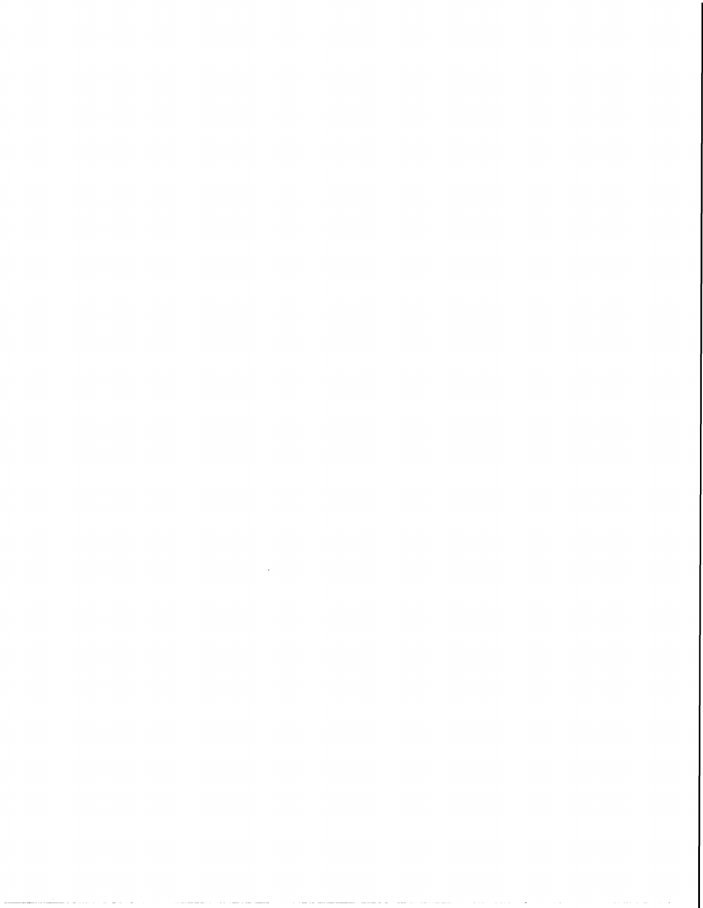$\label{eq:2.1} \frac{1}{2} \int_{\mathbb{R}^3} \frac{1}{\sqrt{2}} \, \frac{1}{\sqrt{2}} \, \frac{1}{\sqrt{2}} \, \frac{1}{\sqrt{2}} \, \frac{1}{\sqrt{2}} \, \frac{1}{\sqrt{2}} \, \frac{1}{\sqrt{2}} \, \frac{1}{\sqrt{2}} \, \frac{1}{\sqrt{2}} \, \frac{1}{\sqrt{2}} \, \frac{1}{\sqrt{2}} \, \frac{1}{\sqrt{2}} \, \frac{1}{\sqrt{2}} \, \frac{1}{\sqrt{2}} \, \frac{1}{\sqrt{2}} \, \frac{1}{\sqrt{2}} \,$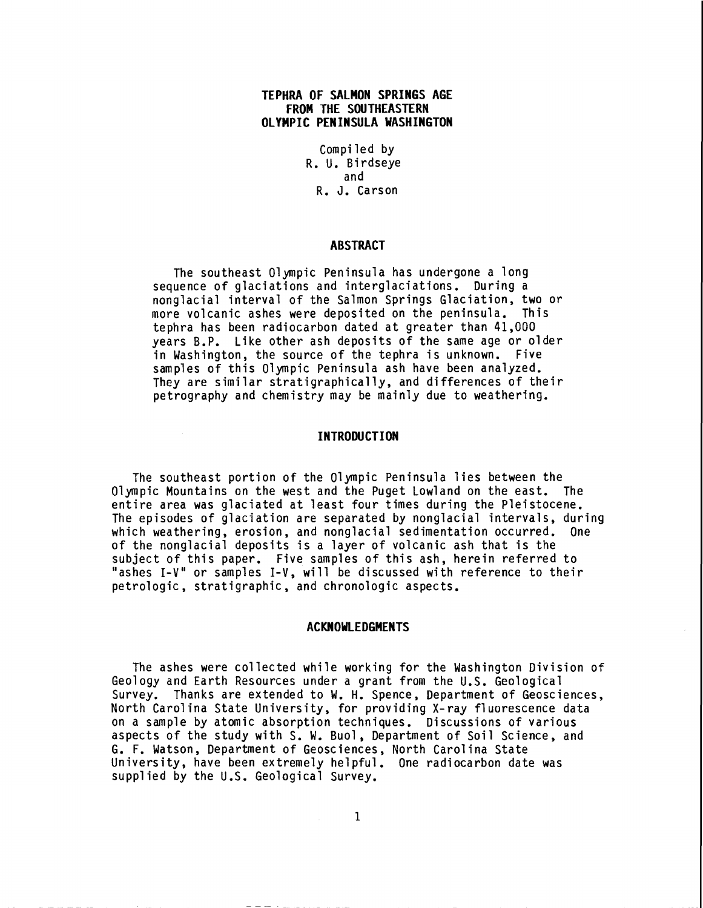## **TEPHRA OF SALMON SPRINGS AGE FROM THE SOUTHEASTERN OLYMPIC PENINSULA WASHINGTON**

Compiled by R. U. Birdseye and R. J. Carson

#### **ABSTRACT**

The southeast Olympic Peninsula has undergone a long sequence of glaciations and interglaciations. During a nonglacial interval of the Salmon Springs Glaciation, two or more volcanic ashes were deposited on the peninsula. This tephra has been radiocarbon dated at greater than 41,000 years B.P. Like other ash deposits of the same age or older in Washington, the source of the tephra is unknown. Five samples of this Olympic Peninsula ash have been analyzed. They are similar stratigraphically, and differences of their petrography and chemistry may be mainly due to weathering.

#### **INTRODUCTION**

The southeast portion of the Olympic Peninsula lies between the Olympic Mountains on the west and the Puget Lowland on the east. The entire area was glaciated at least four times during the Pleistocene. The episodes of glaciation are separated by nonglacial intervals, during which weathering, erosion, and nonglacial sedimentation occurred. of the nonglacial deposits is a layer of volcanic ash that is the subject of this paper. Five samples of this ash, herein referred to "ashes 1-V" or samples 1-V, will be discussed with reference to their petrologic, stratigraphic, and chronologic aspects.

#### **ACKNOWLEDGMENTS**

The ashes were collected while working for the Washington Division of Geology and Earth Resources under a grant from the U.S. Geological Survey. Thanks are extended to W. H. Spence, Department of Geosciences, North Carolina State University, for providing X-ray fluorescence data on a sample by atomic absorption techniques. Discussions of various aspects of the study with S. W. Buol, Department of Soil Science, and G. F. Watson, Department of Geosciences, North Carolina State University, have been extremely helpful. One radiocarbon date was supplied by the U.S. Geological Survey.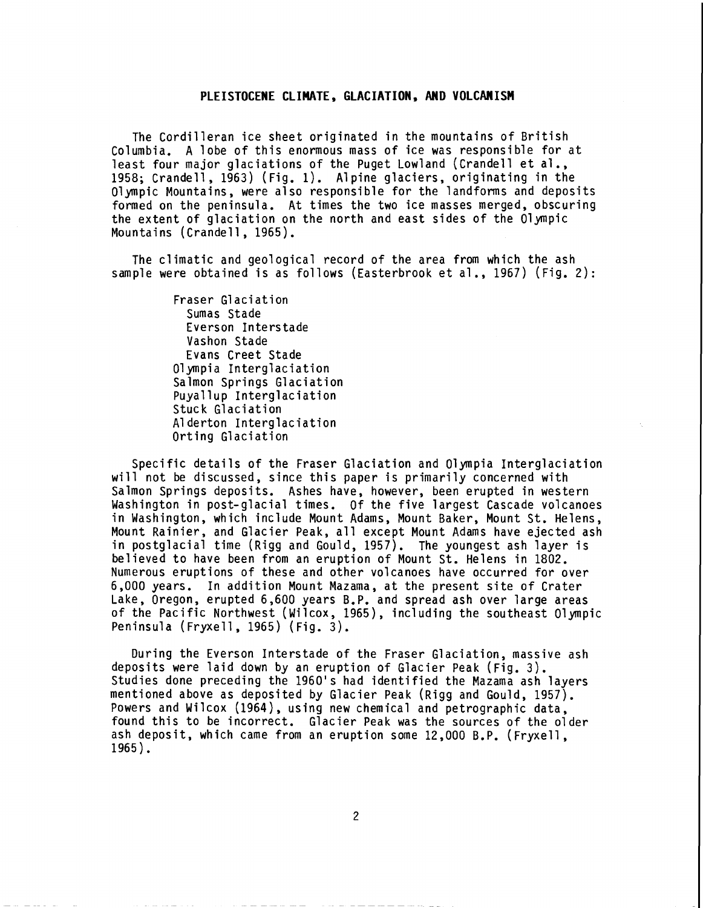#### **PLEISTOCENE CLIMATE, GLACIATION, AND VOLCANISM**

The Cordilleran ice sheet originated in the mountains of British Columbia. A lobe of this enormous mass of ice was responsible for at least four major glaciations of the Puget Lowland (Crandell et al., 1958; Crandell, 1963) (Fig. 1). Alpine glaciers, originating in the Olympic Mountains, were also responsible for the landforms and deposits formed on the peninsula. At times the two ice masses merged, obscuring the extent of glaciation on the north and east sides of the Olympic Mountains (Crandell, 1965).

The climatic and geological record of the area from which the ash sample were obtained is as follows (Easterbrook et al., 1967) (Fig. 2):

> Fraser Glaciation Sumas Stade Everson Interstade Vashon Stade Evans Greet Stade Olympia Interglaciation Salmon Springs Glaciation Puyallup Interglaciation Stuck Glaciation Alderton Interglaciation Orting Glaciation

Specific details of the Fraser Glaciation and Olympia Interglaciation will not be discussed, since this paper is primarily concerned with Salmon Springs deposits. Ashes have, however, been erupted in western Washington in post-glacial times. Of the five largest Cascade volcanoes in Washington, which include Mount Adams, Mount Baker, Mount St. Helens, Mount Rainier, and Glacier Peak, all except Mount Adams have ejected ash in postglacial time (Rigg and Gould, 1957). The youngest ash layer is believed to have been from an eruption of Mount St. Helens in 1802. Numerous eruptions of these and other volcanoes have occurred for over 6,000 years. In addition Mount Mazama, at the present site of Crater Lake, Oregon, erupted 6,600 years B.P. and spread ash over large areas of the Pacific Northwest (Wilcox, 1965), including the southeast Olympic Peninsula (Fryxell, 1965) (Fig. 3).

During the Everson Interstade of the Fraser Glaciation, massive ash deposits were laid down by an eruption of Glacier Peak (Fig. 3). Studies done preceding the 1960's had identified the Mazama ash layers mentioned above as deposited by Glacier Peak (Rigg and Gould, 1957). Powers and Wilcox (1964), using new chemical and petrographic data, found this to be incorrect. Glacier Peak was the sources of the older ash deposit, which came from an eruption some 12,000 B.P. (Fryxell, 1965).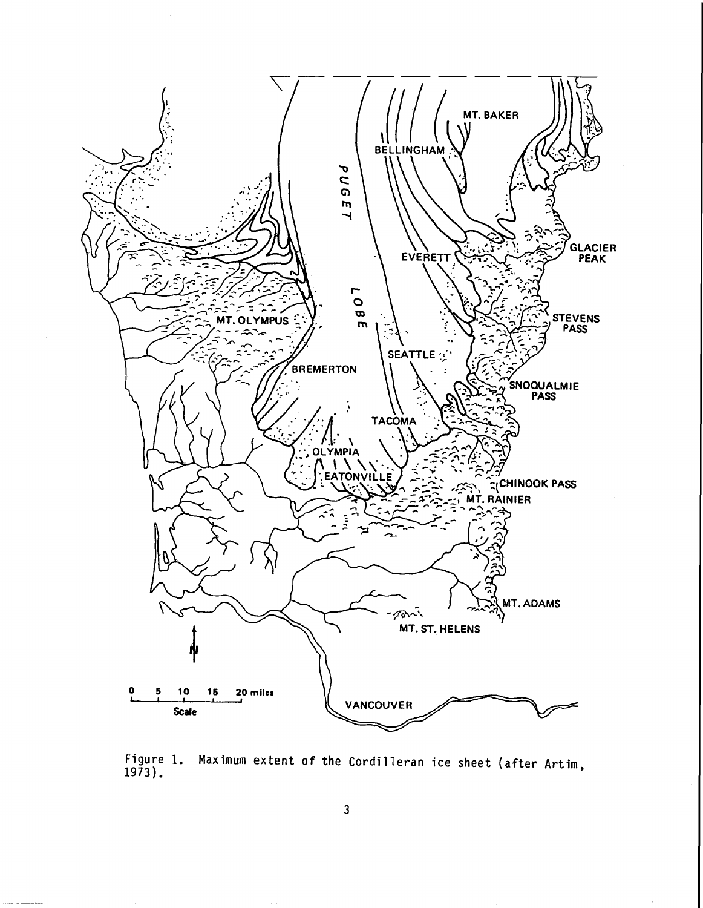

Figure 1. Maximum extent of the Cordilleran ice sheet (after Artim,  $1973$ .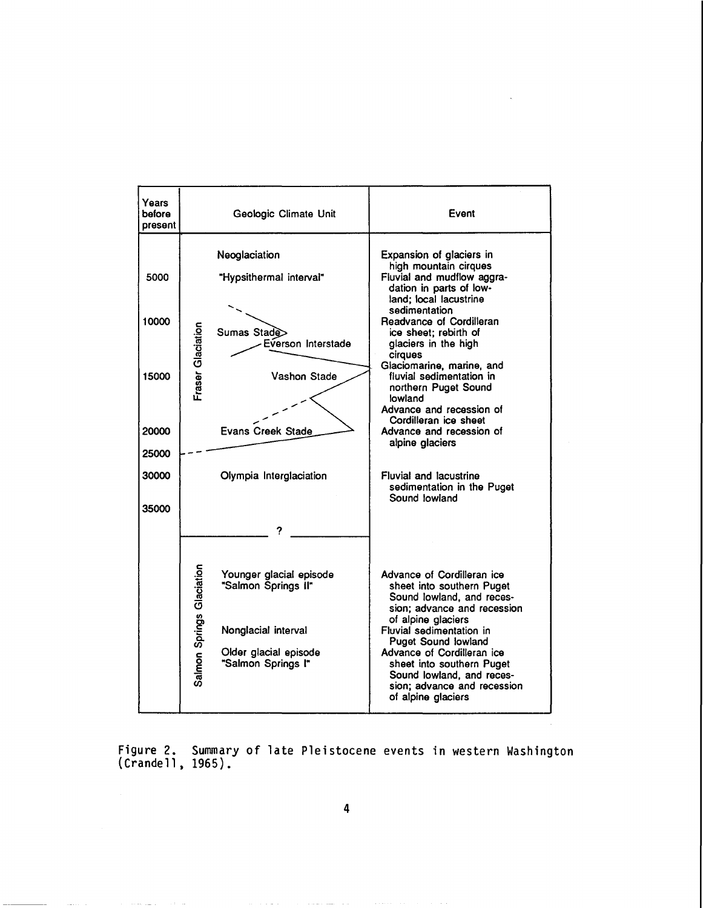| Years<br>before<br>present | Geologic Climate Unit                                                       | Event                                                                                                                                     |
|----------------------------|-----------------------------------------------------------------------------|-------------------------------------------------------------------------------------------------------------------------------------------|
|                            | Neoglaciation                                                               | Expansion of glaciers in<br>high mountain cirques                                                                                         |
| 5000                       | "Hypsithermal interval"                                                     | Fluvial and mudflow aggra-<br>dation in parts of low-<br>land; local lacustrine                                                           |
| 10000                      | Fraser Glaciation<br>Sumas Stade><br>- Everson Interstade                   | sedimentation<br>Readvance of Cordilleran<br>ice sheet; rebirth of<br>glaciers in the high<br>cirques<br>Glaciomarine, marine, and        |
| 15000                      | Vashon Stade                                                                | fluvial sedimentation in<br>northern Puget Sound<br>lowland<br>Advance and recession of<br>Cordilleran ice sheet                          |
| 20000                      | <b>Evans Creek Stade</b>                                                    | Advance and recession of<br>alpine glaciers                                                                                               |
| 25000                      |                                                                             |                                                                                                                                           |
| 30000                      | Olympia Interglaciation                                                     | Fluvial and lacustrine<br>sedimentation in the Puget<br>Sound lowland                                                                     |
| 35000                      |                                                                             |                                                                                                                                           |
|                            | 7                                                                           |                                                                                                                                           |
|                            |                                                                             |                                                                                                                                           |
|                            | Salmon Springs Glaciation<br>Younger glacial episode<br>"Salmon Springs II" | Advance of Cordilleran ice<br>sheet into southern Puget<br>Sound lowland, and reces-<br>sion; advance and recession                       |
|                            | Nonglacial interval                                                         | of alpine glaciers<br>Fluvial sedimentation in<br><b>Puget Sound lowland</b>                                                              |
|                            | Older glacial episode<br>"Salmon Springs I"                                 | Advance of Cordilleran ice<br>sheet into southern Puget<br>Sound lowland, and reces-<br>sion; advance and recession<br>of alpine glaciers |

Figure 2. Summary of late Pleistocene events in western Washington (Crandell, 1965).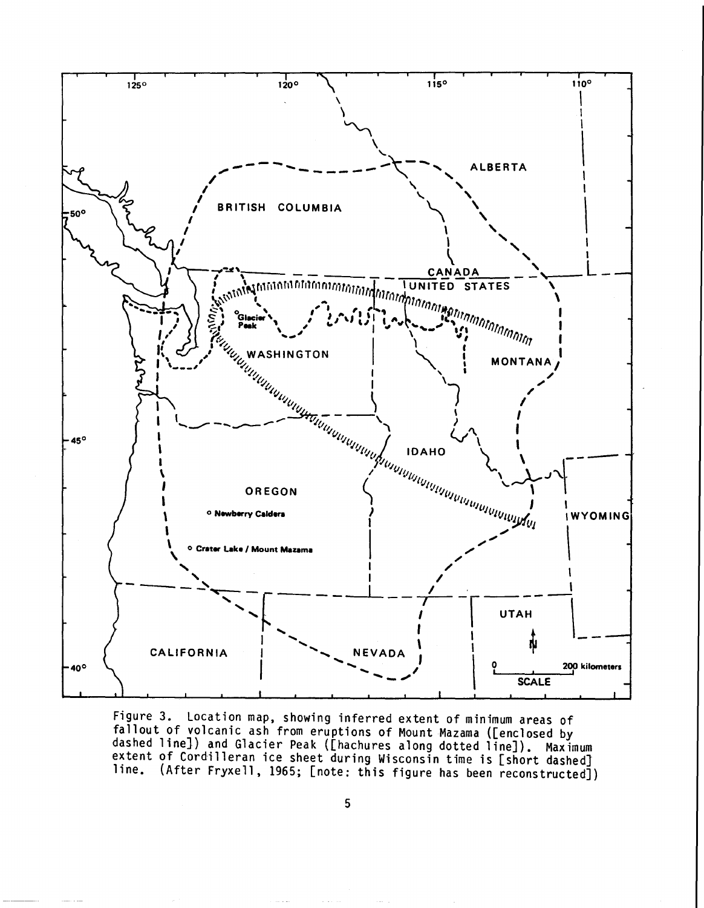

Figure 3. Location map, showing inferred extent of minimum areas of fallout of volcanic ash from eruptions of Mount Mazama ([enclosed by dashed line]) and Glacier Peak ([hachures along dotted line]). Maximum extent of Cordilleran ice sheet during Wisconsin time is [short dashed] line. (After Fryxell, 1965; [note: this figure has been reconstructed])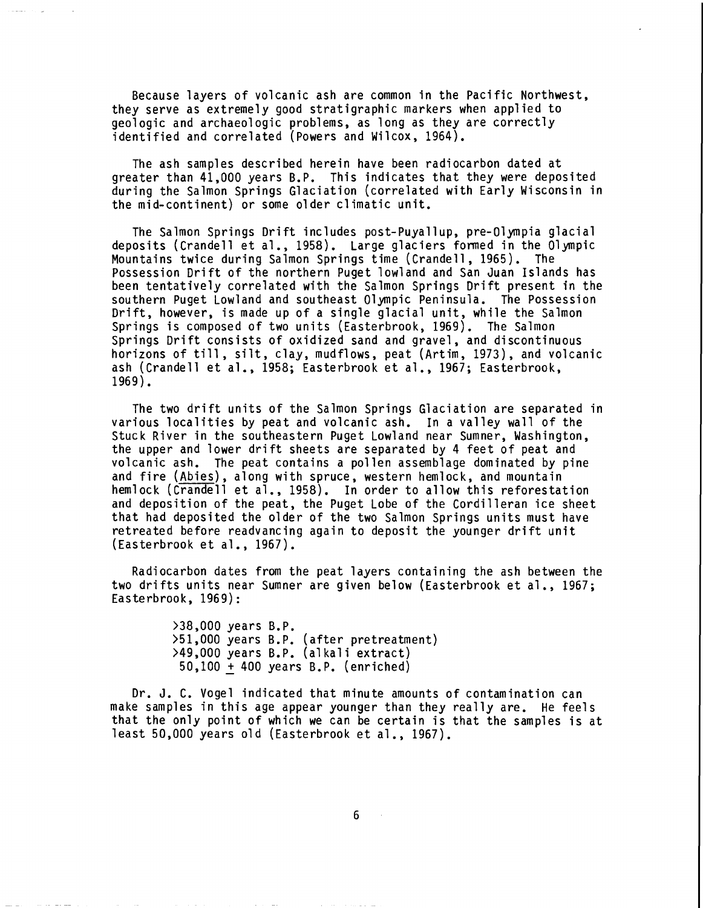Because layers of volcanic ash are common in the Pacific Northwest, they serve as extremely good stratigraphic markers when applied to geologic and archaeologic problems, as long as they are correctly identified and correlated (Powers and Wilcox, 1964).

The ash samples described herein have been radiocarbon dated at greater than 41,000 years B.P. This indicates that they were deposited during the Salmon Springs Glaciation (correlated with Early Wisconsin in the mid-continent) or some older climatic unit.

The Salmon Springs Drift includes post-Puyallup, pre-Olympia glacial deposits (Crandell et al., 1958). Large glaciers formed in the Olympic Mountains twice during Salmon Springs time (Crandell, 1965). The Possession Drift of the northern Puget lowland and San Juan Islands has been tentatively correlated with the Salmon Springs Drift present in the southern Puget Lowland and southeast Olympic Peninsula. The Possession Drift, however, is made up of a single glacial unit, while the Salmon Springs is composed of two units (Easterbrook, 1969). The Salmon Springs Drift consists of oxidized sand and gravel, and discontinuous horizons of till, silt, clay, mudflows, peat (Artim, 1973), and volcanic ash (Crandell et al., 1958; Easterbrook et al., 1967; Easterbrook, 1969).

The two drift units of the Salmon Springs Glaciation are separated in various localities by peat and volcanic ash. In a valley wall of the Stuck River in the southeastern Puget Lowland near Sumner, Washington, the upper and lower drift sheets are separated by 4 feet of peat and volcanic ash. The peat contains a pollen assemblage dominated by pine and fire (Abies), along with spruce, western hemlock, and mountain hemlock (Crandell et al., 1958). In order to allow this reforestation and deposition of the peat, the Puget Lobe of the Cordilleran ice sheet that had deposited the older of the two Salmon Springs units must have retreated before readvancing again to deposit the younger drift unit (Easterbrook et al., 1967).

Radiocarbon dates from the peat layers containing the ash between the two drifts units near Sumner are given below (Easterbrook et al., 1967; Easterbrook, 1969):

> >38,000 years B.P. >51,000 years B.P. (after pretreatment) >49,000 years B.P. (alkali extract) 50,100 ~ 400 years B.P. (enriched)

Dr. J. C. Vogel indicated that minute amounts of contamination can make samples in this age appear younger than they really are. He feels that the only point of which we can be certain is that the samples is at least 50,000 years old (Easterbrook et al., 1967).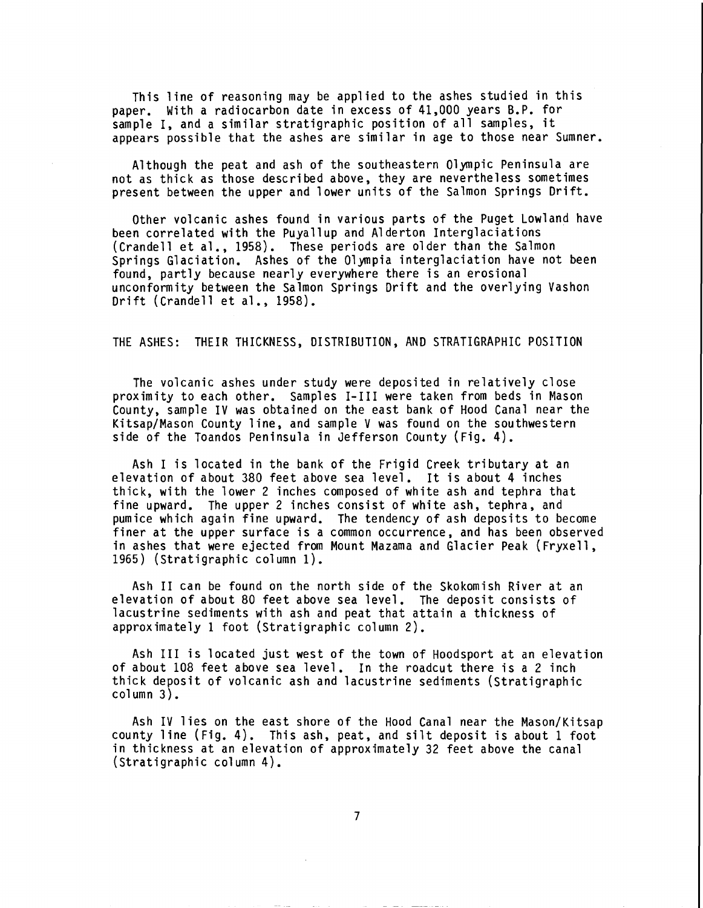This line of reasoning may be applied to the ashes studied in this paper. With a radiocarbon date in excess of 41,000 years B.P. for sample I, and a similar stratigraphic position of all samples, it appears possible that the ashes are similar in age to those near Sumner.

Although the peat and ash of the southeastern Olympic Peninsula are not as thick as those described above, they are nevertheless sometimes present between the upper and lower units of the Salmon Springs Drift.

Other volcanic ashes found in various parts of the Puget Lowland have been correlated with the Puyallup and Alderton Interglaciations (Crandell et al., 1958). These periods are older than the Salmon Springs Glaciation. Ashes of the Olympia interglaciation have not been found, partly because nearly everywhere there is an erosional unconformity between the Salmon Springs Drift and the overlying Vashon Drift (Crandell et al., 1958).

#### THE ASHES: THEIR THICKNESS, DISTRIBUTION, AND STRATIGRAPHIC POSITION

The volcanic ashes under study were deposited in relatively close proximity to each other. Samples I-III were taken from beds in Mason County, sample IV was obtained on the east bank of Hood Canal near the Kitsap/Mason County line, and sample V was found on the southwestern side of the Toandos Peninsula in Jefferson County (Fig. 4).

Ash I is located in the bank of the Frigid Creek tributary at an elevation of about 380 feet above sea level. It is about 4 inches thick, with the lower 2 inches composed of white ash and tephra that fine upward. The upper 2 inches consist of white ash, tephra, and pumice which again fine upward. The tendency of ash deposits to become finer at the upper surface is a common occurrence, and has been observed in ashes that were ejected from Mount Mazama and Glacier Peak (Fryxell, 1965) (Stratigraphic column 1).

Ash II can be found on the north side of the Skokomish River at an elevation of about 80 feet above sea level. The deposit consists of lacustrine sediments with ash and peat that attain a thickness of approximately 1 foot (Stratigraphic column 2).

Ash III is located just west of the town of Hoodsport at an elevation of about 108 feet above sea level. In the roadcut there is a 2 inch thick deposit of volcanic ash and lacustrine sediments (Stratigraphic column 3).

Ash IV lies on the east shore of the Hood Canal near the Mason/Kitsap county line (Fig. 4). This ash, peat, and silt deposit is about 1 foot in thickness at an elevation of approximately 32 feet above the canal (Stratigraphic column 4).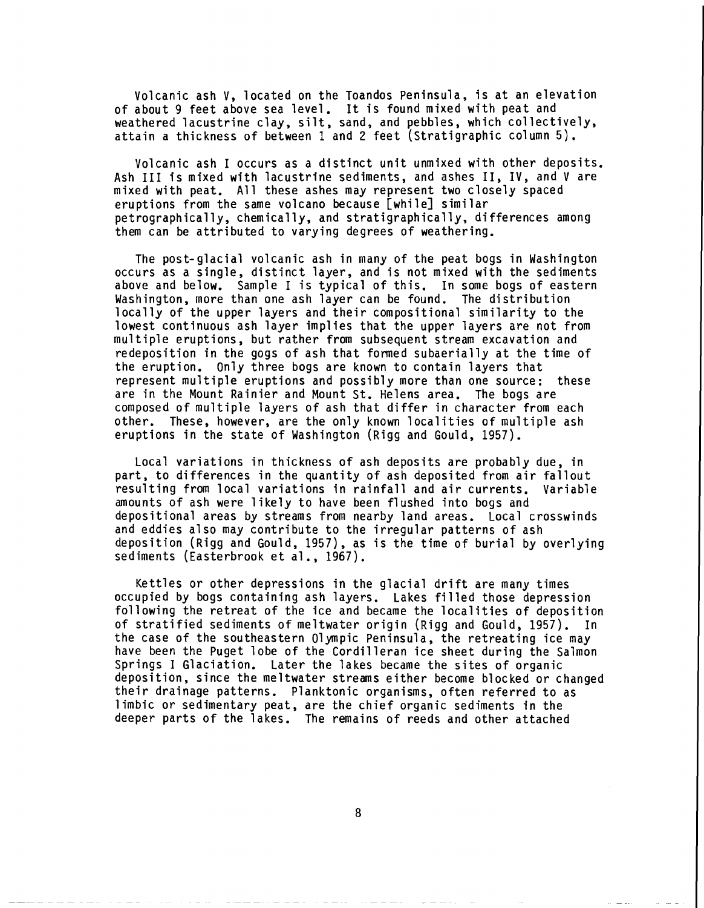Volcanic ash V, located on the Toandos Peninsula, is at an elevation of about 9 feet above sea level. It is found mixed with peat and weathered lacustrine clay, silt, sand, and pebbles, which collectively, attain a thickness of between 1 and 2 feet (Stratigraphic column 5).

Volcanic ash I occurs as a distinct unit unmixed with other deposits. Ash III is mixed with lacustrine sediments, and ashes II, IV, and V are mixed with peat. All these ashes may represent two closely spaced eruptions from the same volcano because [while] similar petrographically, chemically, and stratigraphically, differences among them can be attributed to varying degrees of weathering.

The post-glacial volcanic ash in many of the peat bogs in Washington occurs as a single, distinct layer, and is not mixed with the sediments above and below. Sample I is typical of this. In some bogs of eastern Washington, more than one ash layer can be found. The distribution locally of the upper layers and their compositional similarity to the lowest continuous ash layer implies that the upper layers are not from multiple eruptions, but rather from subsequent stream excavation and redeposition in the gogs of ash that fonned subaerially at the time of the eruption. Only three bogs are known to contain layers that represent multiple eruptions and possibly more than one source: these are in the Mount Rainier and Mount St. Helens area. The bogs are composed of multiple layers of ash that differ in character from each other. These, however, are the only known localities of multiple ash eruptions in the state of Washington (Rigg and Gould, 1957).

Local variations in thickness of ash deposits are probably due, in part, to differences in the quantity of ash deposited from air fallout resulting from local variations in rainfall and air currents. Variable amounts of ash were likely to have been flushed into bogs and depositional areas by streams from nearby land areas. Local crosswinds and eddies also may contribute to the irregular patterns of ash deposition (Rigg and Gould, 1957), as is the time of burial by overlying sediments (Easterbrook et al., 1967).

Kettles or other depressions in the glacial drift are many times occupied by bogs containing ash layers. Lakes filled those depression following the retreat of the ice and became the localities of deposition of stratified sediments of meltwater origin (Rigg and Gould, 1957). In the case of the southeastern Olympic Peninsula, the retreating ice may have been the Puget lobe of the Cordilleran ice sheet during the Salmon<br>Springs I Glaciation. Later the lakes became the sites of organic deposition, since the meltwater streams either become blocked or changed their drainage patterns. Planktonic organisms, often referred to as limbic or sedimentary peat, are the chief organic sediments in the deeper parts of the lakes. The remains of reeds and other attached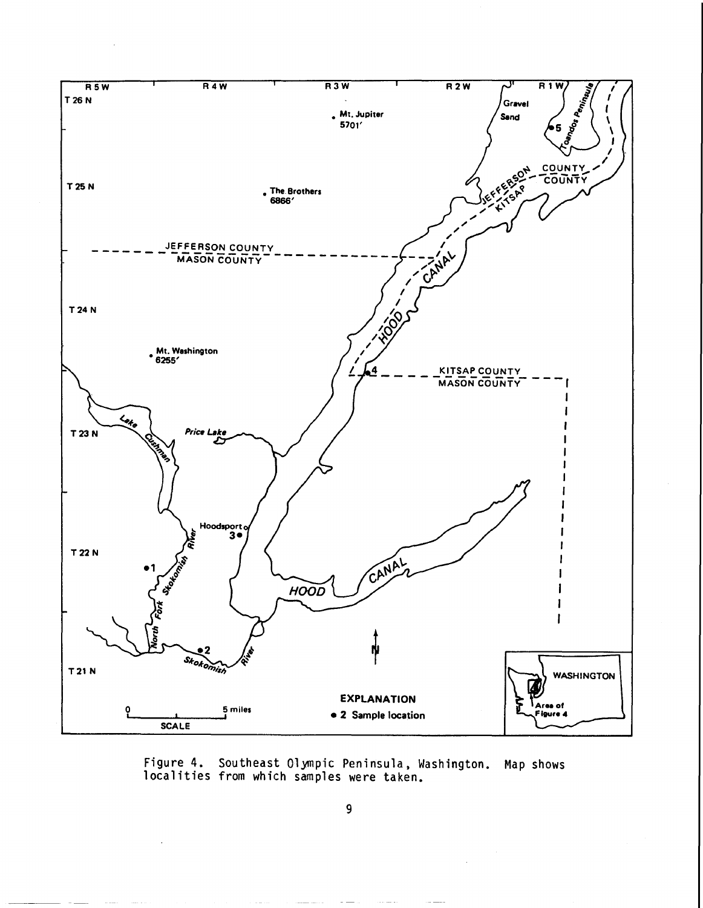

 $\bar{\gamma}$ 

Figure 4. Southeast Olympic Peninsula, Washington. Map shows localities from which samples were taken.

J.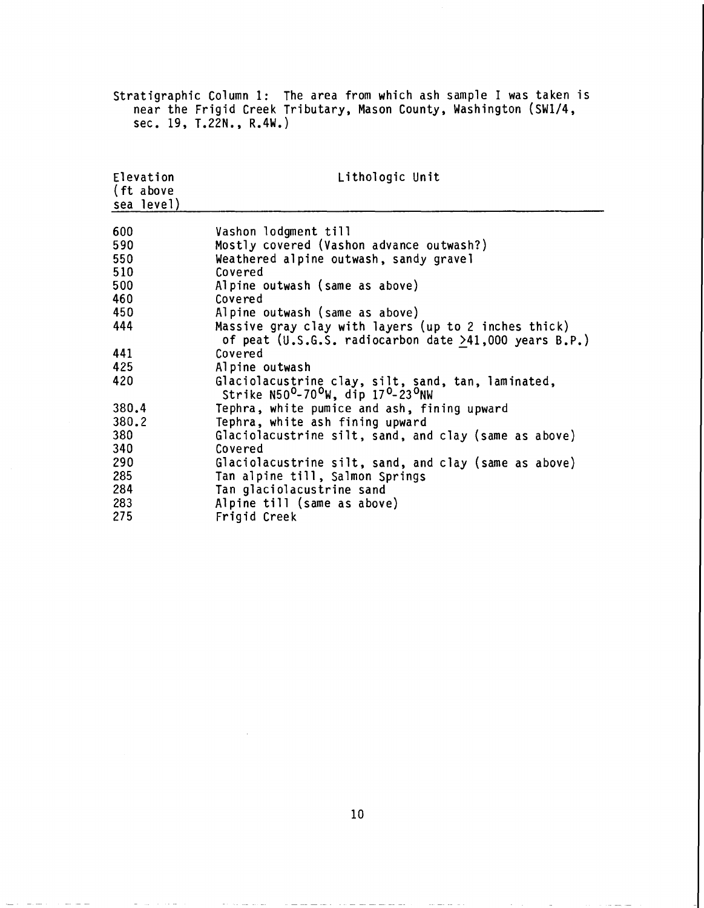Stratigraphic Column 1: The area from which ash sample I was taken is near the Frigid Creek Tributary, Mason County, Washington (SWl/4, sec. 19, T.22N., R.4W.)

| Elevation<br>(ft above<br>sea level) | Lithologic Unit                                                                                                                           |
|--------------------------------------|-------------------------------------------------------------------------------------------------------------------------------------------|
| 600                                  | Vashon lodgment till                                                                                                                      |
| 590                                  | Mostly covered (Vashon advance outwash?)                                                                                                  |
| 550                                  | Weathered alpine outwash, sandy gravel                                                                                                    |
| 510                                  | Covered                                                                                                                                   |
| 500                                  | Alpine outwash (same as above)                                                                                                            |
| 460                                  | Covered                                                                                                                                   |
| 450                                  | Alpine outwash (same as above)                                                                                                            |
| 444                                  | Massive gray clay with layers (up to 2 inches thick)<br>of peat $(U.S.G.S. radiocarbon date > 41,000 years B.P.)$                         |
| 441                                  | Covered                                                                                                                                   |
| 425                                  | Alpine outwash                                                                                                                            |
| 420                                  | Glaciolacustrine clay, silt, sand, tan, laminated,<br>Strike N50 <sup>0</sup> -70 <sup>0</sup> W, dip 17 <sup>0</sup> -23 <sup>0</sup> NW |
| 380.4                                | Tephra, white pumice and ash, fining upward                                                                                               |
| 380.2                                | Tephra, white ash fining upward                                                                                                           |
| 380                                  | Glaciolacustrine silt, sand, and clay (same as above)                                                                                     |
| 340                                  | Covered                                                                                                                                   |
| 290                                  | Glaciolacustrine silt, sand, and clay (same as above)                                                                                     |
| 285                                  | Tan alpine till, Salmon Springs                                                                                                           |
| 284                                  | Tan glaciolacustrine sand                                                                                                                 |
| 283                                  | Alpine till (same as above)                                                                                                               |
| 275                                  | Frigid Creek                                                                                                                              |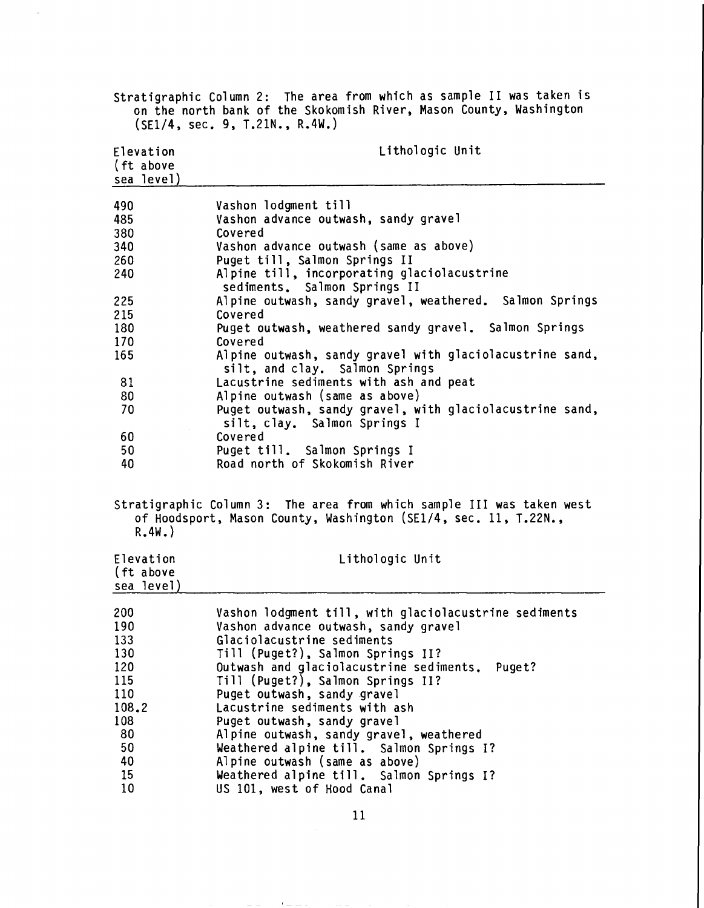|                                      | Stratigraphic Column 2: The area from which as sample II was taken is<br>on the north bank of the Skokomish River, Mason County, Washington<br>(SE1/4, sec. 9, T.21N., R.4W.) |
|--------------------------------------|-------------------------------------------------------------------------------------------------------------------------------------------------------------------------------|
| Elevation<br>(ft above<br>sea level) | Lithologic Unit                                                                                                                                                               |
| 490                                  | Vashon lodgment till                                                                                                                                                          |
| 485                                  | Vashon advance outwash, sandy gravel                                                                                                                                          |
| 380                                  | Covered                                                                                                                                                                       |
| 340                                  | Vashon advance outwash (same as above)                                                                                                                                        |
| 260<br>240                           | Puget till, Salmon Springs II<br>Alpine till, incorporating glaciolacustrine<br>sediments. Salmon Springs II                                                                  |
| 225<br>215                           | Alpine outwash, sandy gravel, weathered. Salmon Springs<br>Covered                                                                                                            |
| 180                                  | Puget outwash, weathered sandy gravel. Salmon Springs                                                                                                                         |
| 170<br>165                           | Covered<br>Alpine outwash, sandy gravel with glaciolacustrine sand,<br>silt, and clay. Salmon Springs                                                                         |
| 81                                   | Lacustrine sediments with ash and peat                                                                                                                                        |
| 80                                   | Alpine outwash (same as above)                                                                                                                                                |
| 70                                   | Puget outwash, sandy gravel, with glaciolacustrine sand,<br>silt, clay. Salmon Springs I                                                                                      |
| 60                                   | Covered                                                                                                                                                                       |
| 50<br>40                             | Puget till. Salmon Springs I<br>Road north of Skokomish River                                                                                                                 |
| R.4W.                                | Stratigraphic Column 3: The area from which sample III was taken west<br>of Hoodsport, Mason County, Washington (SE1/4, sec. 11, T.22N.,                                      |
| Elevation<br>(ft above               | Lithologic Unit                                                                                                                                                               |
| sea level)                           |                                                                                                                                                                               |
| 200                                  | Vashon lodgment till, with glaciolacustrine sediments                                                                                                                         |
| 190<br>133                           | Vashon advance outwash, sandy gravel<br>Glaciolacustrine sediments                                                                                                            |
| 130                                  | Till (Puget?), Salmon Springs II?                                                                                                                                             |
| 120                                  | Outwash and glaciolacustrine sediments. Puget?                                                                                                                                |
| 115                                  | Till (Puget?), Salmon Springs II?                                                                                                                                             |
| 110                                  | Puget outwash, sandy gravel                                                                                                                                                   |
| 108.2                                | Lacustrine sediments with ash                                                                                                                                                 |
| 108<br>80                            | Puget outwash, sandy gravel<br>Alpine outwash, sandy gravel, weathered                                                                                                        |
| 50                                   | Weathered alpine till. Salmon Springs I?                                                                                                                                      |
| 40                                   | Alpine outwash (same as above)                                                                                                                                                |
| 15                                   | Weathered alpine till. Salmon Springs I?                                                                                                                                      |
| 10 <sub>1</sub>                      | US 101, west of Hood Canal                                                                                                                                                    |

 $\frac{1}{2}$ 

 $\mathcal{A}^{\pm}$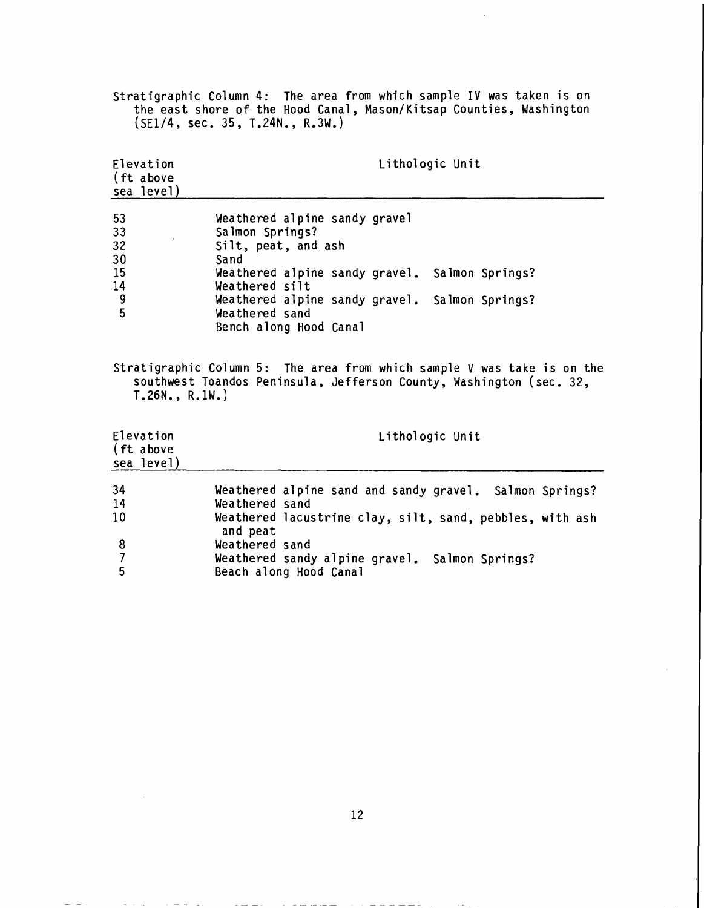Stratigraphic Column 4: The area from which sample IV was taken is on the east shore of the Hood Canal, Mason/Kitsap Counties, Washington (SEl/4, sec. 35, T.24N., R.3W.)

| Elevation<br>(ft above<br>sea level)  | Lithologic Unit                                                                                                                                |
|---------------------------------------|------------------------------------------------------------------------------------------------------------------------------------------------|
| 53<br>33<br>32<br>30                  | Weathered alpine sandy gravel<br>Salmon Springs?<br>Silt, peat, and ash<br>Sand                                                                |
| 15<br>14                              | Weathered alpine sandy gravel. Salmon Springs?<br>Weathered silt                                                                               |
| $\frac{9}{5}$                         | Weathered alpine sandy gravel. Salmon Springs?<br>Weathered sand<br>Bench along Hood Canal                                                     |
| $T.26N.$ , $R.1W.$ )                  | Stratigraphic Column 5: The area from which sample V was take is on the<br>southwest Toandos Peninsula, Jefferson County, Washington (sec. 32, |
| Elevation<br>(ft above<br>sea level)  | Lithologic Unit                                                                                                                                |
| 34                                    | Weathered alpine sand and sandy gravel. Salmon Springs?                                                                                        |
| 14<br>10                              | Weathered sand<br>Weathered lacustrine clay, silt, sand, pebbles, with ash<br>and peat                                                         |
| $\begin{array}{c} 8 \\ 7 \end{array}$ | Weathered sand                                                                                                                                 |
| 5                                     | Weathered sandy alpine gravel. Salmon Springs?<br>Beach along Hood Canal                                                                       |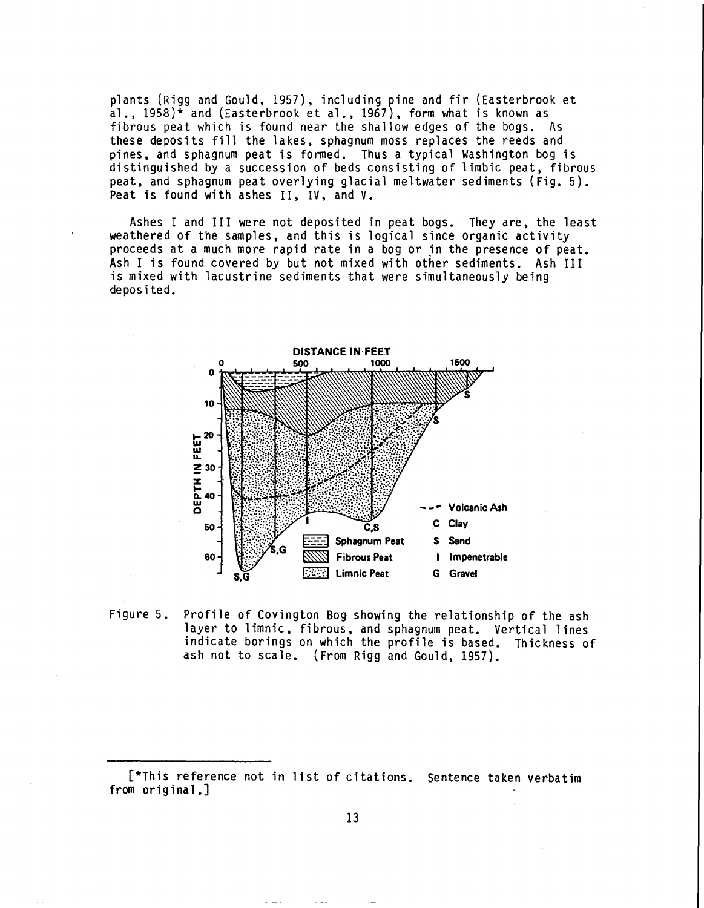plants (Rigg and Gould, 1957), including pine and fir (Easterbrook et al.,  $1958)^{\star}$  and (Easterbrook et al.,  $1967$ ), form what is known as fibrous peat which is found near the shallow edges of the bogs. As these deposits fill the lakes, sphagnum moss replaces the reeds and pines, and sphagnum peat is formed. Thus a typical Washington bog is distinguished by a succession of beds consisting of limbic peat, fibrous peat, and sphagnum peat overlying glacial meltwater sediments (Fig. 5). Peat is found with ashes II, IV, and V.

Ashes I and III were not deposited in peat bogs. They are, the least weathered of the samples, and this is logical since organic activity proceeds at a much more rapid rate in a bog or in the presence of peat. Ash I is found covered by but not mixed with other sediments. Ash III is mixed with lacustrine sediments that were simultaneously being deposited.



Figure 5. Profile of Covington Bog showing the relationship of the ash layer to limnic, fibrous, and sphagnum peat. Vertical lines indicate borings on which the profile is based. Thickness of ash not to scale. (From Rigg and Gould, 1957).

<sup>[\*</sup>This reference not in list of citations. Sentence taken verbatim from original.]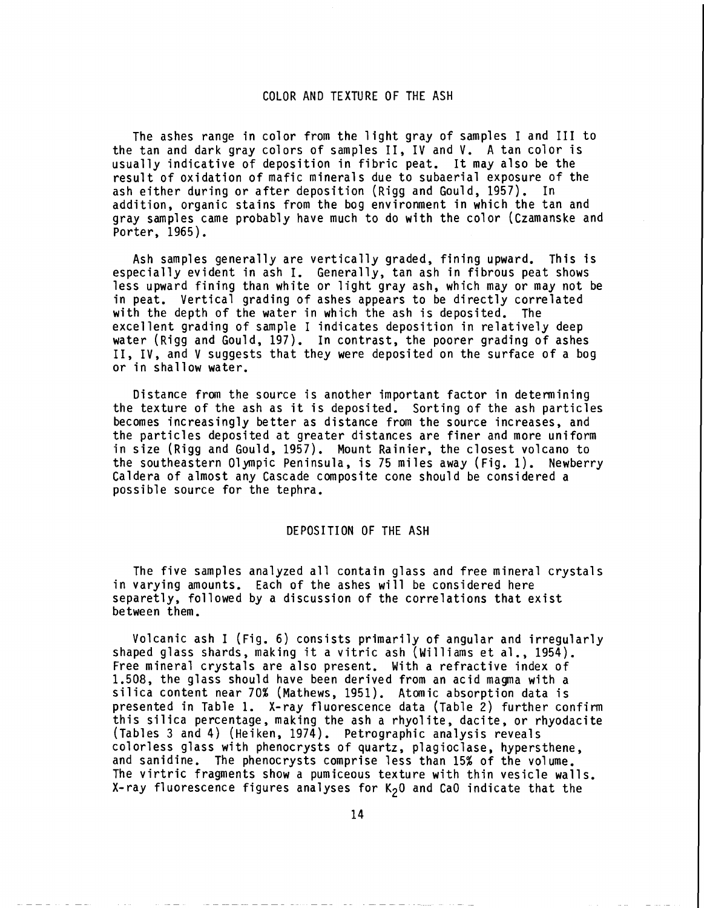#### COLOR AND TEXTURE OF THE ASH

The ashes range in color from the light gray of samples I and III to the tan and dark gray colors of samples II, IV and V. A tan color is usually indicative of deposition in fibric peat. It may also be the result of oxidation of mafic minerals due to subaerial exposure of the ash either during or after deposition (Rigg and Gould, 1957). In addition, organic stains from the bog environment in which the tan and gray samples came probably have much to do with the color (Czamanske and Porter, 1965).

Ash samples generally are vertically graded, fining upward. This is especially evident in ash I. Generally, tan ash in fibrous peat shows less upward fining than white or light gray ash, which may or may not be in peat. Vertical grading of ashes appears to be directly correlated with the depth of the water in which the ash is deposited. The excellent grading of sample I indicates deposition in relatively deep water (Rigg and Gould, 197). In contrast, the poorer grading of ashes II, IV, and V suggests that they were deposited on the surface of a bog or in shallow water.

Distance from the source is another important factor in determining the texture of the ash as it is deposited. Sorting of the ash particles becomes increasingly better as distance from the source increases, and the particles deposited at greater distances are finer and more uniform in size (Rigg and Gould, 1957). Mount Rainier, the closest volcano to the southeastern Olympic Peninsula, is 75 miles away (Fig. 1). Newberry Caldera of almost any Cascade composite cone should be considered a possible source for the tephra.

#### DEPOSITION OF THE ASH

The five samples analyzed all contain glass and free mineral crystals in varying amounts. Each of the ashes will be considered here separetly, followed by a discussion of the correlations that exist between them.

Volcanic ash I (Fig. 6) consists primarily of angular and irregularly shaped glass shards, making it a vitric ash (Williams et al., 1954). Free mineral crystals are also present. With a refractive index of 1.508, the glass should have been derived from an acid magma with a silica content near 70% (Mathews, 1951). Atomic absorption data is presented in Table 1. X-ray fluorescence data (Table 2) further confirm this silica percentage, making the ash a rhyolite, dacite, or rhyodacite (Tables 3 and 4) (Heiken, 1974). Petrographic analysis reveals colorless glass with phenocrysts of quartz, plagioclase, hypersthene, and sanidine. The phenocrysts comprise less than 15% of the volume. The virtric fragments show a pumiceous texture with thin vesicle walls. X-ray fluorescence figures analyses for  $K<sub>2</sub>0$  and CaO indicate that the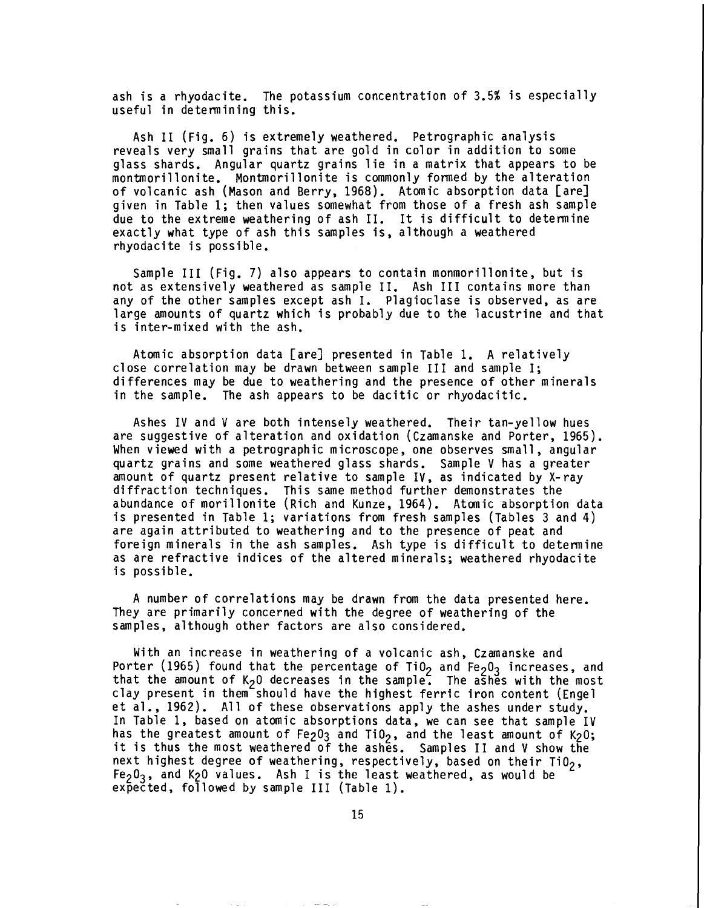ash is a rhyodacite. The potassium concentration of 3.5% is especially useful in determining this.

Ash II (Fig. 6) is extremely weathered. Petrographic analysis reveals very small grains that are gold in color in addition to some glass shards. Angular quartz grains lie in a matrix that appears to be montmorillonite. Montmorillonite is commonly formed by the alteration of volcanic ash (Mason and Berry, 1968). Atomic absorption data [are] given in Table 1; then values somewhat from those of a fresh ash sample due to the extreme weathering of ash II. It is difficult to determine exactly what type of ash this samples is, although a weathered rhyodacite is possible.

Sample III (Fig. 7) also appears to contain monmorillonite, but is not as extensively weathered as sample II. Ash III contains more than any of the other samples except ash I. Plagioclase is observed, as are large amounts of quartz which is probably due to the lacustrine and that is inter-mixed with the ash.

Atomic absorption data [are] presented in Table 1. A relatively close correlation may be drawn between sample III and sample I; differences may be due to weathering and the presence of other minerals in the sample. The ash appears to be dacitic or rhyodacitic.

Ashes IV and V are both intensely weathered. Their tan-yellow hues are suggestive of alteration and oxidation (Czamanske and Porter, 1965). When viewed with a petrographic microscope, one observes small, angular quartz grains and some weathered glass shards. Sample V has a greater amount of quartz present relative to sample IV, as indicated by X-ray diffraction techniques. This same method further demonstrates the abundance of morillonite (Rich and Kunze, 1964). Atomic absorption data is presented in Table 1; variations from fresh samples (Tables 3 and 4) are again attributed to weathering and to the presence of peat and foreign minerals in the ash samples. Ash type is difficult to determine as are refractive indices of the altered minerals; weathered rhyodacite is possible.

A number of correlations may be drawn from the data presented here. They are primarily concerned with the degree of weathering of the samples, although other factors are also considered.

With an increase in weathering of a volcanic ash, Czamanske and Porter (1965) found that the percentage of TiO<sub>2</sub> and Fe<sub>2</sub>O<sub>3</sub> increases, and that the amount of  $K_2$ O decreases in the sample. The ashes with the most clay present in them should have the highest ferric iron content (Engel et al., 1962). All of these observations apply the ashes under study. In Table 1, based on atomic absorptions data, we can see that sample IV has the greatest amount of Fe $_2$ O $_3$  and TiO $_2$ , and the least amount of K $_2$ O; it is thus the most weathered of the ashes. Samples II and V show the next highest degree of weathering, respectively, based on their TiO<sub>2</sub>, Fe<sub>2</sub>O<sub>3</sub>, and K<sub>2</sub>O<sub>3</sub> values. Ash I is the least weathered, as would be expected, followed by sample III (Table 1).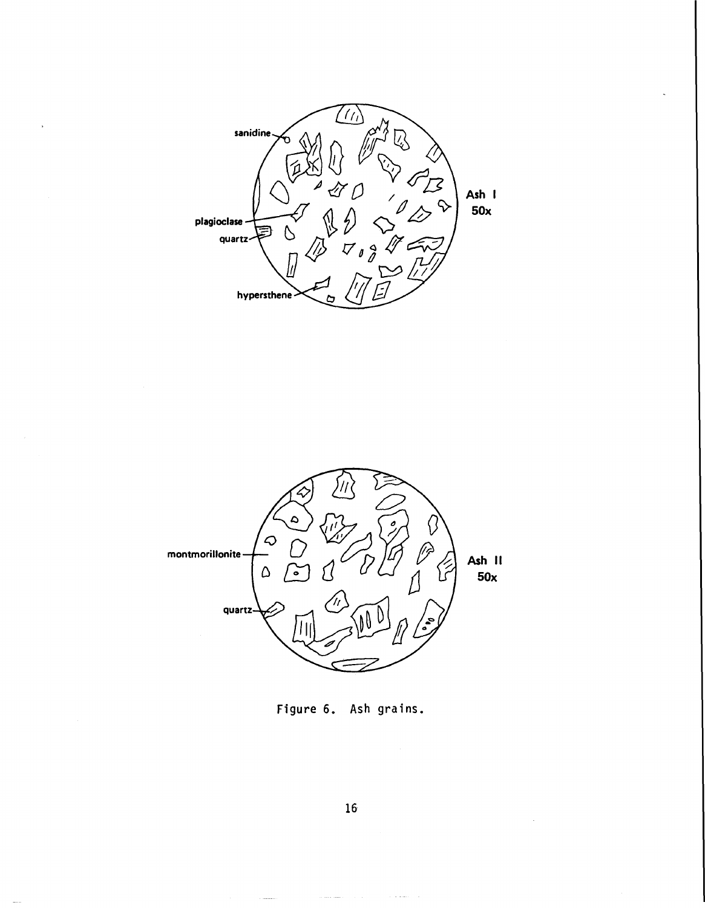

 $\ddot{\phantom{1}}$ 



Figure 6. Ash grains.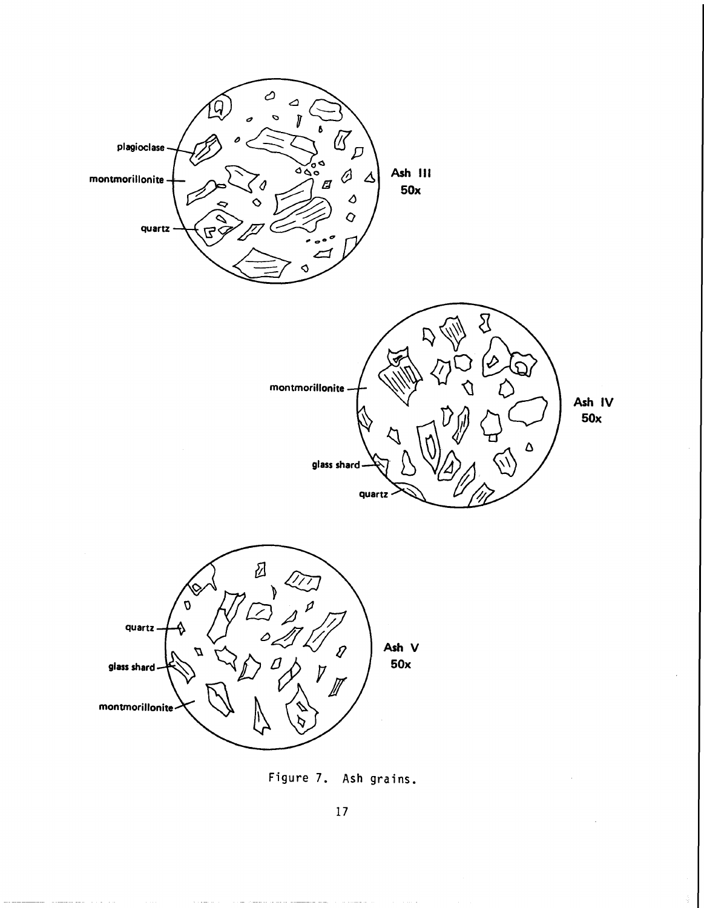

Figure 7. Ash grains.

17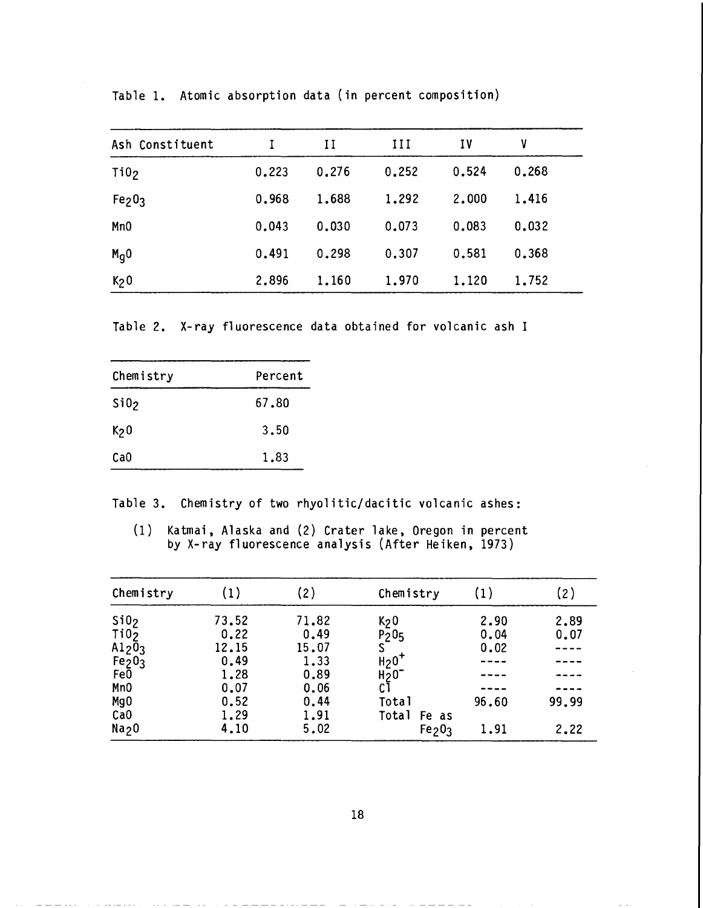| Ash Constituent                |       | П     | III   | 1 V   | ٧     |  |
|--------------------------------|-------|-------|-------|-------|-------|--|
| Ti0 <sub>2</sub>               | 0.223 | 0.276 | 0.252 | 0.524 | 0.268 |  |
| Fe <sub>2</sub> 0 <sub>3</sub> | 0.968 | 1,688 | 1,292 | 2,000 | 1,416 |  |
| Mn0                            | 0.043 | 0.030 | 0.073 | 0.083 | 0.032 |  |
| $M_{g}0$                       | 0.491 | 0.298 | 0.307 | 0.581 | 0.368 |  |
| K <sub>2</sub> 0               | 2.896 | 1,160 | 1,970 | 1.120 | 1.752 |  |

Table 1. Atomic absorption data (in percent composition)

Table 2. X-ray fluorescence data obtained for volcanic ash I

| Chemistry        | Percent |
|------------------|---------|
| Si0 <sub>2</sub> | 67.80   |
| K <sub>2</sub> 0 | 3.50    |
| Ca0              | 1.83    |

Table 3. Chemistry of two rhyolitic/dacitic volcanic ashes:

(1) Katmai, Alaska and (2) Crater lake, Oregon in percent by X-ray fluorescence analysis (After Heiken, 1973)

| Chemistry                      | $\langle 1)$ | (2)   | Chemistry                      | (1)   | (2)   |
|--------------------------------|--------------|-------|--------------------------------|-------|-------|
| Si0 <sub>2</sub>               | 73.52        | 71.82 | K <sub>2</sub> 0               | 2.90  | 2.89  |
| Ti0 <sub>2</sub>               | 0.22         | 0.49  |                                | 0.04  | 0.07  |
| A1203                          | 12.15        | 15.07 | P <sub>2</sub> 0 <sub>5</sub>  | 0.02  |       |
| Fe <sub>2</sub> 0 <sub>3</sub> | 0.49         | 1.33  | $H20+$                         |       |       |
| FeŌ                            | 1.28         | 0.89  |                                |       |       |
| Mn <sub>0</sub>                | 0.07         | 0.06  | $\frac{1}{2}$ 0.               |       |       |
| Mg <sub>0</sub>                | 0.52         | 0.44  | Total                          | 96.60 | 99.99 |
| CaO                            | 1.29         | 1.91  | Total<br>Fe as                 |       |       |
| Na <sub>2</sub> 0              | 4.10         | 5.02  | Fe <sub>2</sub> 0 <sub>3</sub> | 1.91  | 2.22  |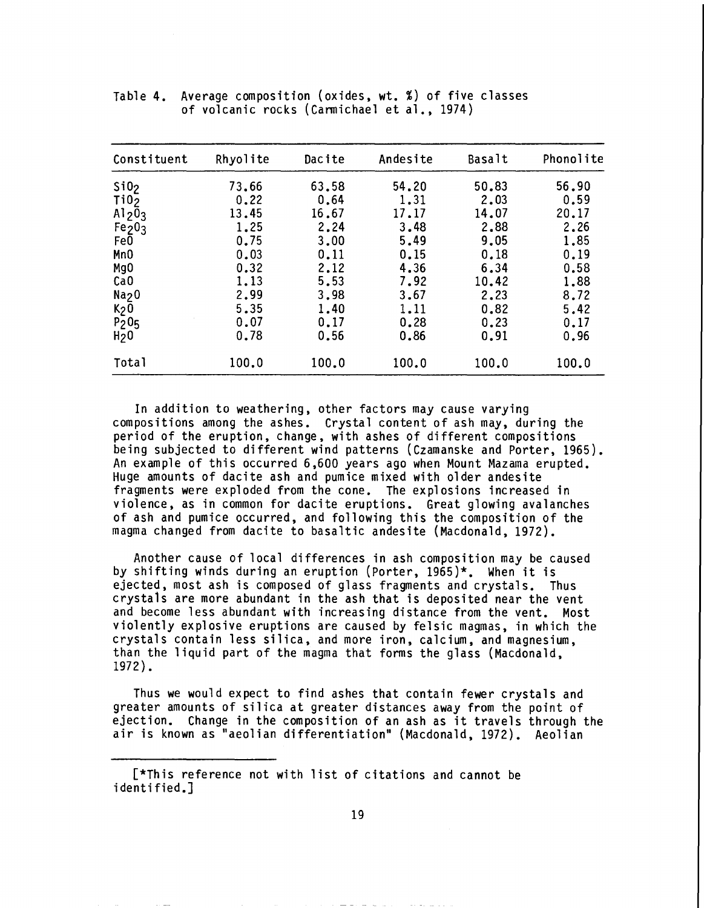| Constituent                    | Rhyolite | Dacite | Andesite | Basalt | Phonolite |
|--------------------------------|----------|--------|----------|--------|-----------|
| Si0 <sub>2</sub>               | 73.66    | 63.58  | 54.20    | 50.83  | 56.90     |
| Ti0 <sub>2</sub>               | 0.22     | 0.64   | 1.31     | 2.03   | 0.59      |
| $Al_2O_3$                      | 13.45    | 16.67  | 17.17    | 14.07  | 20.17     |
| Fe <sub>2</sub> 0 <sub>3</sub> | 1,25     | 2.24   | 3.48     | 2.88   | 2.26      |
| Fe <sub>0</sub>                | 0.75     | 3,00   | 5.49     | 9.05   | 1,85      |
| Mn0                            | 0.03     | 0.11   | 0.15     | 0.18   | 0.19      |
| Mg <sub>0</sub>                | 0.32     | 2.12   | 4.36     | 6.34   | 0.58      |
| Ca <sub>0</sub>                | 1.13     | 5.53   | 7.92     | 10.42  | 1.88      |
| Na <sub>2</sub> 0              | 2.99     | 3.98   | 3.67     | 2.23   | 8.72      |
| K <sub>2</sub> 0               | 5.35     | 1,40   | 1.11     | 0.82   | 5.42      |
| P <sub>2</sub> 0 <sub>5</sub>  | 0.07     | 0.17   | 0.28     | 0.23   | 0.17      |
| H <sub>2</sub> 0               | 0.78     | 0.56   | 0.86     | 0.91   | 0.96      |
| Total                          | 100.0    | 100.0  | 100.0    | 100.0  | 100.0     |

Table 4. Average composition (oxides, wt.%) of five classes of volcanic rocks (Cannichael et al., 1974)

In addition to weathering, other factors may cause varying compositions among the ashes. Crystal content of ash may, during the period of the eruption, change, with ashes of different compositions being subjected to different wind patterns (Czamanske and Porter, 1965). An example of this occurred 6,600 years ago when Mount Mazama erupted. Huge amounts of dacite ash and pumice mixed with older andesite fragments were exploded from the cone. The explosions increased in violence, as in common for dacite eruptions. Great glowing avalanches of ash and pumice occurred, and following this the composition of the magma changed from dacite to basaltic andesite (Macdonald, 1972).

Another cause of local differences in ash composition may be caused by shifting winds during an eruption (Porter, 1965)\*. When it is ejected, most ash is composed of glass fragments and crystals. Thus crysta1s are more abundant in the ash that is deposited near the vent and become less abundant with increasing distance from the vent. Most violently explosive eruptions are caused by felsic magmas, in which the crystals contain less silica, and more iron, calcium, and magnesium, than the liquid part of the magma that forms the glass (Macdonald, 1972).

Thus we would expect to find ashes that contain fewer crystals and greater amounts of silica at greater distances away from the point of ejection. Change in the composition of an ash as it travels through the air is known as "aeolian differentiation" (Macdonald, 1972). Aeolian

<sup>[\*</sup>This reference not with list of citations and cannot be identified.]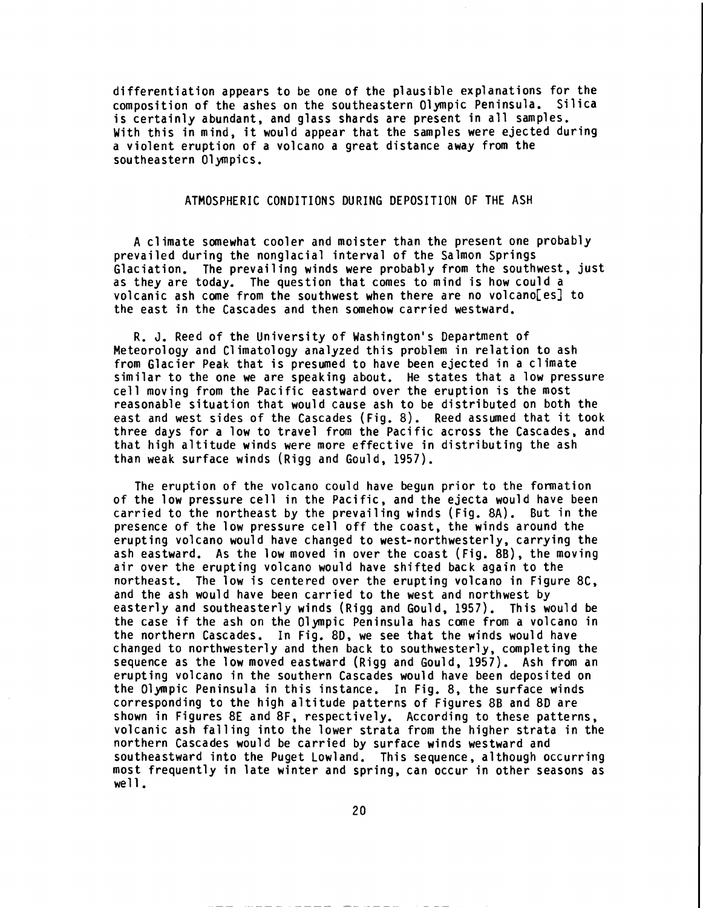differentiation appears to be one of the plausible explanations for the composition of the ashes on the southeastern Olympic Peninsula. Silica is certainly abundant, and glass shards are present in all samples. With this in mind, it would appear that the samples were ejected during a violent eruption of a volcano a great distance **away** from the southeastern Olympics.

### ATMOSPHERIC CONDITIONS DURING DEPOSITION OF THE ASH

A climate somewhat cooler and moister than the present one probably prevailed during the nonglacial interval of the Salmon Springs Glaciation. The prevailing winds were probably from the southwest, just as they are today. The question that comes to mind is how could a volcanic ash come from the southwest when there are no volcano[es] to the east in the Cascades and then somehow carried westward.

R. J. Reed of the University of Washington's Department of Meteorology and Climatology analyzed this problem in relation to ash from Glacier Peak that is presumed to have been ejected in a climate similar to the one we are speaking about. He states that a low pressure cell moving from the Pacific eastward over the eruption is the most reasonable situation that would cause ash to be distributed on both the east and west sides of the Cascades (Fig. 8). Reed assumed that it took three days for a low to travel from the Pacific across the Cascades, and that high altitude winds were more effective in distributing the ash than weak surface winds (Rigg and Gould, 1957).

The eruption of the volcano could have begun prior to the formation of the low pressure cell in the Pacific, and the ejecta would have been carried to the northeast by the prevailing winds (Fig. 8A). But in the presence of the low pressure cell off the coast, the winds around the erupting volcano would have changed to west-northwesterly, carrying the ash eastward. As the low moved in over the coast (Fig. 88), the moving air over the erupting volcano would have shifted back again to the northeast. The low is centered over the erupting volcano in Figure 8C, and the ash would have been carried to the west and northwest by easterly and southeasterly winds (Rigg and Gould, 1957). This would be the case if the ash on the Olympic Peninsula has come from a volcano in the northern Cascades. In Fig. 80, we see that the winds would have changed to northwesterly and then back to southwesterly, completing the sequence as the low moved eastward (Rigg and Gould, 1957). Ash from an erupting volcano in the southern Cascades would have been deposited on the Olympic Peninsula in this instance. In Fig. 8, the surface winds corresponding to the high altitude patterns of Figures 88 and 80 are shown in Figures 8E and 8F, respectively. According to these patterns, volcanic ash falling into the lower strata from the higher strata in the northern Cascades would be carried by surface winds westward and southeastward into the Puget Lowland. This sequence, although occurring most frequently in late winter and spring, can occur in other seasons as well.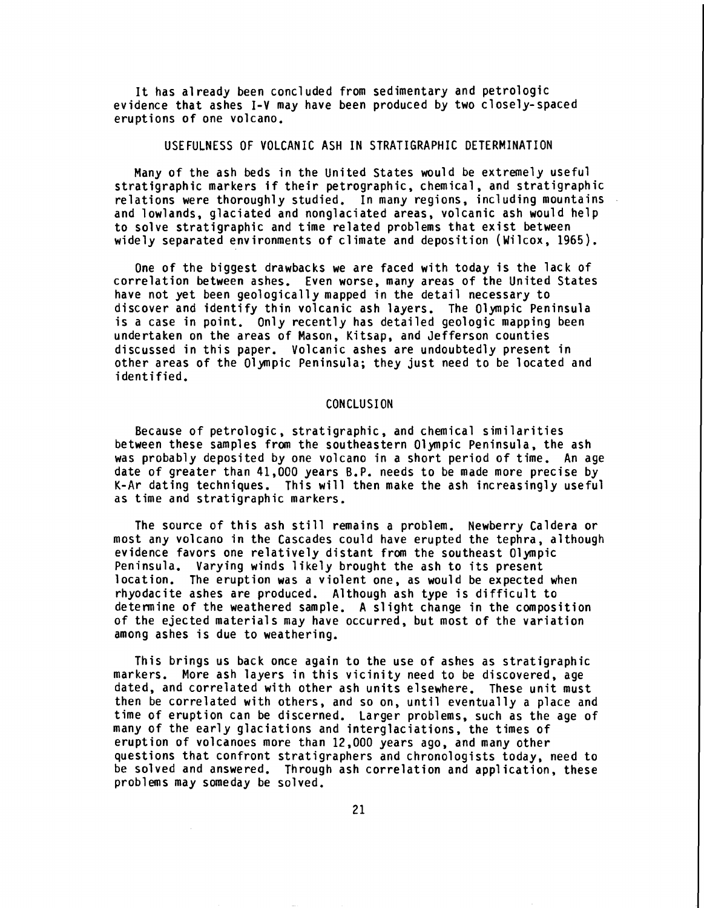It has already been concluded from sedimentary and petrologic evidence that ashes I-V may have been produced by two closely-spaced eruptions of one volcano.

## USEFULNESS OF VOLCANIC ASH IN STRATIGRAPHIC DETERMINATION

Many of the ash beds in the United States would be extremely useful stratigraphic markers if their petrographic, chemical, and stratigraphic relations were thoroughly studied. In many regions, including mountains and lowlands, glaciated and nonglaciated areas, volcanic ash would help to solve stratigraphic and time related problems that exist between widely separated environments of climate and deposition (Wilcox, 1965).

One of the biggest drawbacks we are faced with today is the lack of correlation between ashes. Even worse, many areas of the United States have not yet been geologically mapped in the detail necessary to discover and identify thin volcanic ash layers. The Olympic Peninsula is a case in point. Only recently has detailed geologic mapping been undertaken on the areas of Mason, Kitsap, and Jefferson counties discussed in this paper. Volcanic ashes are undoubtedly present in other areas of the Olympic Peninsula; they just need to be located and identified.

#### CONCLUSION

Because of petrologic, stratigraphic, and chemical similarities between these samples from the southeastern Olympic Peninsula, the ash was probably deposited by one volcano in a short period of time. An age date of greater than 41,000 years B.P. needs to be made more precise by K-Ar dating techniques. This will then make the ash increasingly useful as time and stratigraphic markers.

The source of this ash still remains a problem. Newberry Caldera or most any volcano in the Cascades could have erupted the tephra, although evidence favors one relatively distant from the southeast Olympic Peninsula. Varying winds likely brought the ash to its present location. The eruption was a violent one, as would be expected when rhyodacite ashes are produced. Although ash type is difficult to detennine of the weathered sample. A slight change in the composition of the ejected materials may have occurred, but most of the variation among ashes is due to weathering.

This brings us back once again to the use of ashes as stratigraphic markers. More ash layers in this vicinity need to be discovered, age dated, and correlated with other ash units elsewhere. These unit must then be correlated with others, and so on, until eventually a place and time of eruption can be discerned. Larger problems, such as the age of many of the early glaciations and interglaciations, the times of eruption of volcanoes more than 12,000 years ago, and many other questions that confront stratigraphers and chronologists today, need to be solved and answered. Through ash correlation and application, these problems may someday be solved.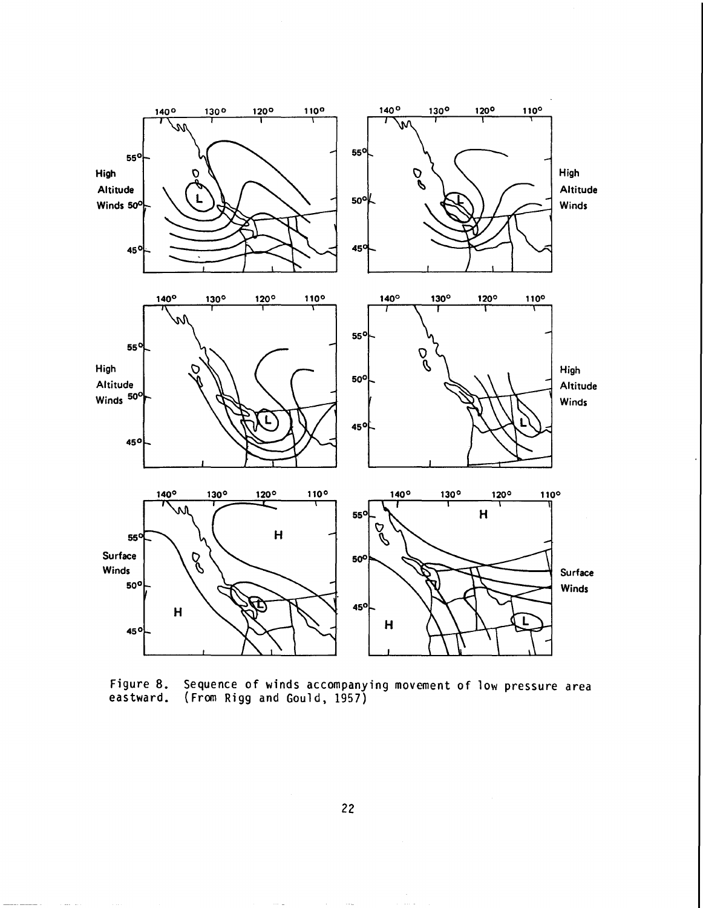

Figure 8. eastward. Sequence of winds accompanying movement of low pressure area {From Rigg and Gould, 1957)